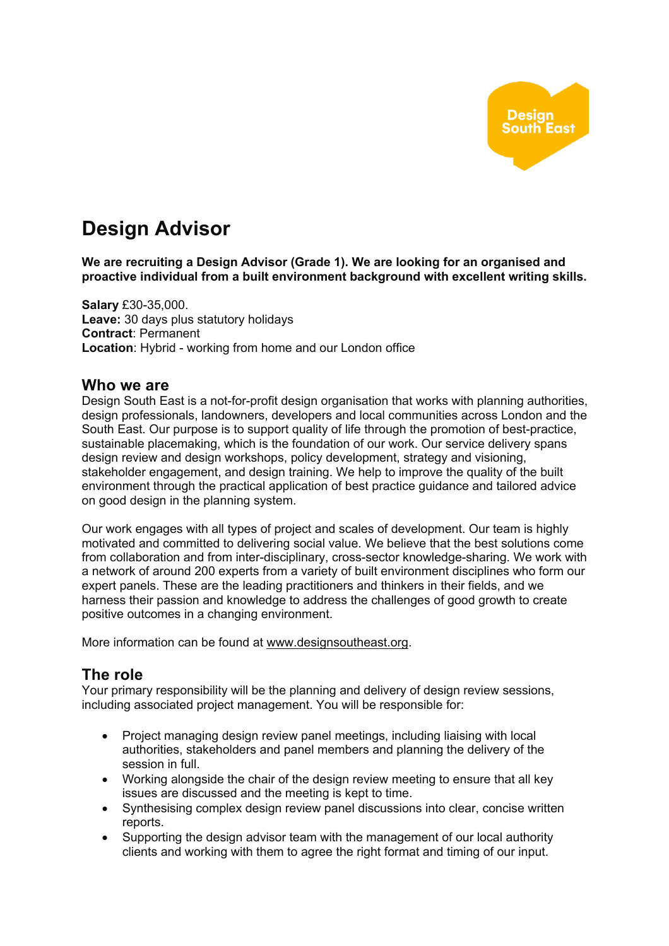

# **Design Advisor**

**We are recruiting a Design Advisor (Grade 1). We are looking for an organised and proactive individual from a built environment background with excellent writing skills.**

**Salary** £30-35,000. **Leave:** 30 days plus statutory holidays **Contract**: Permanent **Location**: Hybrid - working from home and our London office

#### **Who we are**

Design South East is a not-for-profit design organisation that works with planning authorities, design professionals, landowners, developers and local communities across London and the South East. Our purpose is to support quality of life through the promotion of best-practice, sustainable placemaking, which is the foundation of our work. Our service delivery spans design review and design workshops, policy development, strategy and visioning, stakeholder engagement, and design training. We help to improve the quality of the built environment through the practical application of best practice guidance and tailored advice on good design in the planning system.

Our work engages with all types of project and scales of development. Our team is highly motivated and committed to delivering social value. We believe that the best solutions come from collaboration and from inter-disciplinary, cross-sector knowledge-sharing. We work with a network of around 200 experts from a variety of built environment disciplines who form our expert panels. These are the leading practitioners and thinkers in their fields, and we harness their passion and knowledge to address the challenges of good growth to create positive outcomes in a changing environment.

More information can be found at www.designsoutheast.org.

# **The role**

Your primary responsibility will be the planning and delivery of design review sessions, including associated project management. You will be responsible for:

- Project managing design review panel meetings, including liaising with local authorities, stakeholders and panel members and planning the delivery of the session in full.
- Working alongside the chair of the design review meeting to ensure that all key issues are discussed and the meeting is kept to time.
- Synthesising complex design review panel discussions into clear, concise written reports.
- Supporting the design advisor team with the management of our local authority clients and working with them to agree the right format and timing of our input.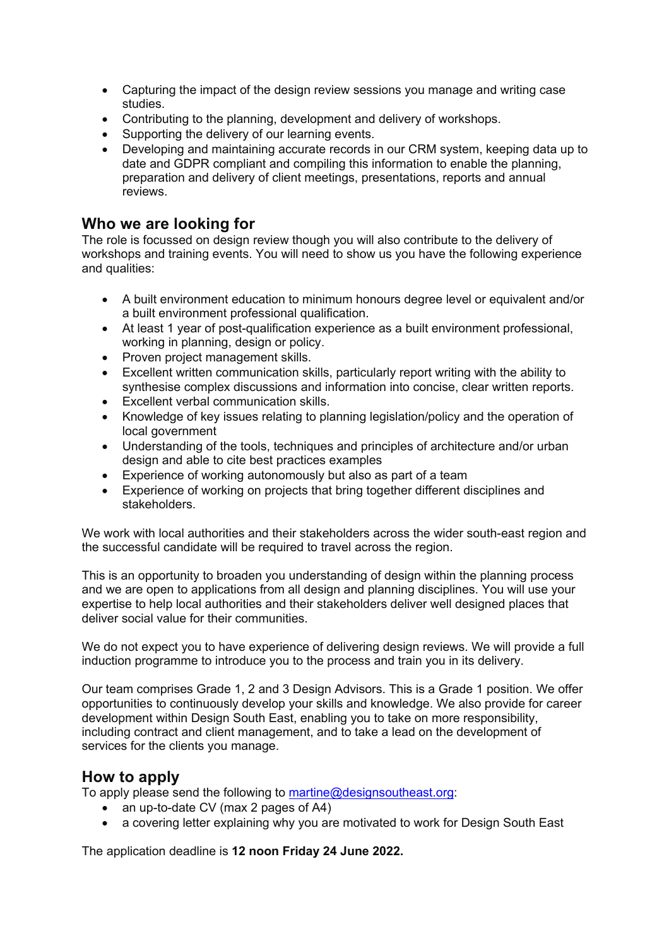- Capturing the impact of the design review sessions you manage and writing case studies.
- Contributing to the planning, development and delivery of workshops.
- Supporting the delivery of our learning events.
- Developing and maintaining accurate records in our CRM system, keeping data up to date and GDPR compliant and compiling this information to enable the planning, preparation and delivery of client meetings, presentations, reports and annual reviews.

### **Who we are looking for**

The role is focussed on design review though you will also contribute to the delivery of workshops and training events. You will need to show us you have the following experience and qualities:

- A built environment education to minimum honours degree level or equivalent and/or a built environment professional qualification.
- At least 1 year of post-qualification experience as a built environment professional, working in planning, design or policy.
- Proven project management skills.
- Excellent written communication skills, particularly report writing with the ability to synthesise complex discussions and information into concise, clear written reports.
- Excellent verbal communication skills.
- Knowledge of key issues relating to planning legislation/policy and the operation of local government
- Understanding of the tools, techniques and principles of architecture and/or urban design and able to cite best practices examples
- Experience of working autonomously but also as part of a team
- Experience of working on projects that bring together different disciplines and stakeholders.

We work with local authorities and their stakeholders across the wider south-east region and the successful candidate will be required to travel across the region.

This is an opportunity to broaden you understanding of design within the planning process and we are open to applications from all design and planning disciplines. You will use your expertise to help local authorities and their stakeholders deliver well designed places that deliver social value for their communities.

We do not expect you to have experience of delivering design reviews. We will provide a full induction programme to introduce you to the process and train you in its delivery.

Our team comprises Grade 1, 2 and 3 Design Advisors. This is a Grade 1 position. We offer opportunities to continuously develop your skills and knowledge. We also provide for career development within Design South East, enabling you to take on more responsibility, including contract and client management, and to take a lead on the development of services for the clients you manage.

# **How to apply**

To apply please send the following to martine@designsoutheast.org:

- an up-to-date CV (max 2 pages of A4)
- a covering letter explaining why you are motivated to work for Design South East

The application deadline is **12 noon Friday 24 June 2022.**